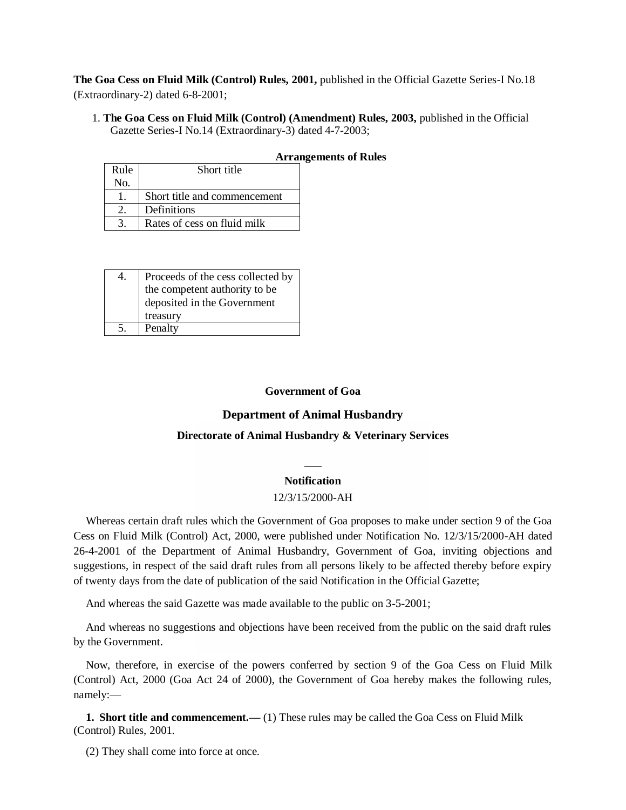**The Goa Cess on Fluid Milk (Control) Rules, 2001,** published in the Official Gazette Series-I No.18 (Extraordinary-2) dated 6-8-2001;

1. **The Goa Cess on Fluid Milk (Control) (Amendment) Rules, 2003,** published in the Official Gazette Series-I No.14 (Extraordinary-3) dated 4-7-2003;

| Rule | Short title                  |  |  |
|------|------------------------------|--|--|
| No.  |                              |  |  |
|      | Short title and commencement |  |  |
|      | Definitions                  |  |  |
|      | Rates of cess on fluid milk  |  |  |

| 4. |                                                                    |
|----|--------------------------------------------------------------------|
|    | Proceeds of the cess collected by<br>the competent authority to be |
|    | deposited in the Government                                        |
|    | treasury                                                           |
| 5. | Penalty                                                            |

### **Government of Goa**

## **Department of Animal Husbandry**

### **Directorate of Animal Husbandry & Veterinary Services**

### **Notification**

#### 12/3/15/2000-AH

Whereas certain draft rules which the Government of Goa proposes to make under section 9 of the Goa Cess on Fluid Milk (Control) Act, 2000, were published under Notification No. 12/3/15/2000-AH dated 26-4-2001 of the Department of Animal Husbandry, Government of Goa, inviting objections and suggestions, in respect of the said draft rules from all persons likely to be affected thereby before expiry of twenty days from the date of publication of the said Notification in the Official Gazette;

And whereas the said Gazette was made available to the public on 3-5-2001;

And whereas no suggestions and objections have been received from the public on the said draft rules by the Government.

Now, therefore, in exercise of the powers conferred by section 9 of the Goa Cess on Fluid Milk (Control) Act, 2000 (Goa Act 24 of 2000), the Government of Goa hereby makes the following rules, namely:—

**1. Short title and commencement.—— (1) These rules may be called the Goa Cess on Fluid Milk** (Control) Rules, 2001.

(2) They shall come into force at once.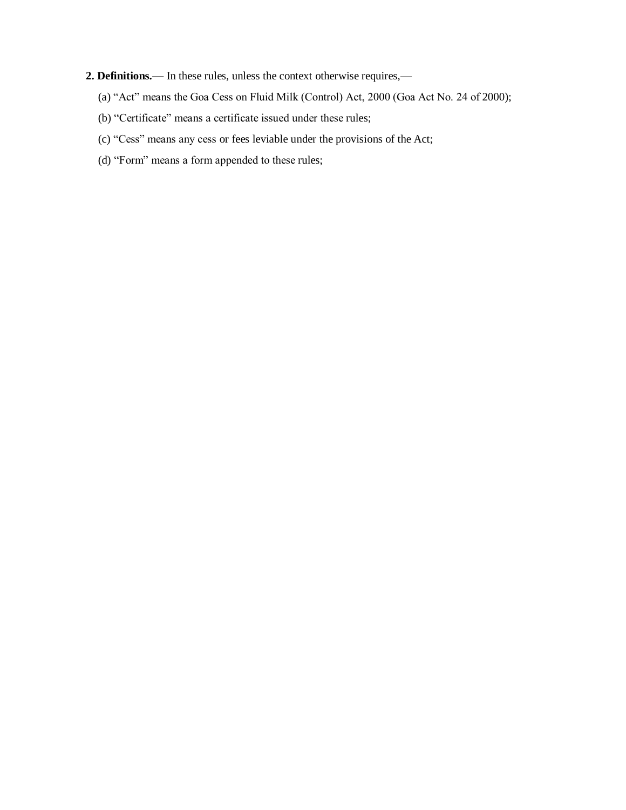- **2. Definitions.—** In these rules, unless the context otherwise requires,—
	- (a) "Act" means the Goa Cess on Fluid Milk (Control) Act, 2000 (Goa Act No. 24 of 2000);
	- (b) "Certificate" means a certificate issued under these rules;
	- (c) "Cess" means any cess or fees leviable under the provisions of the Act;
	- (d) "Form" means a form appended to these rules;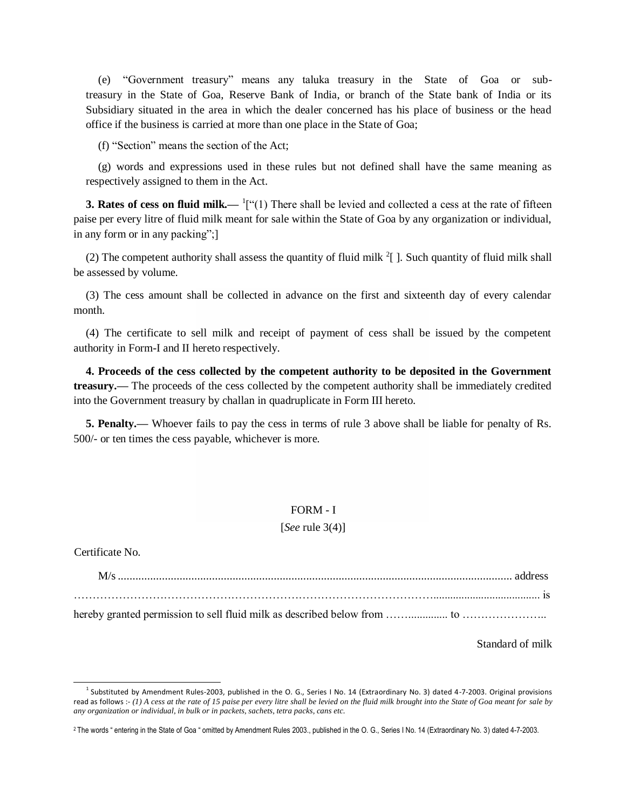(e) "Government treasury" means any taluka treasury in the State of Goa or subtreasury in the State of Goa, Reserve Bank of India, or branch of the State bank of India or its Subsidiary situated in the area in which the dealer concerned has his place of business or the head office if the business is carried at more than one place in the State of Goa;

(f) "Section" means the section of the Act;

(g) words and expressions used in these rules but not defined shall have the same meaning as respectively assigned to them in the Act.

**3. Rates of cess on fluid milk.— <sup>1</sup>**["(1) There shall be levied and collected a cess at the rate of fifteen paise per every litre of fluid milk meant for sale within the State of Goa by any organization or individual, in any form or in any packing";]

(2) The competent authority shall assess the quantity of fluid milk  $2 \int$ . Such quantity of fluid milk shall be assessed by volume.

(3) The cess amount shall be collected in advance on the first and sixteenth day of every calendar month.

(4) The certificate to sell milk and receipt of payment of cess shall be issued by the competent authority in Form-I and II hereto respectively.

**4. Proceeds of the cess collected by the competent authority to be deposited in the Government treasury.—** The proceeds of the cess collected by the competent authority shall be immediately credited into the Government treasury by challan in quadruplicate in Form III hereto.

**5. Penalty.—** Whoever fails to pay the cess in terms of rule 3 above shall be liable for penalty of Rs. 500/- or ten times the cess payable, whichever is more.

#### FORM - I

### [*See* rule 3(4)]

Certificate No.

M/s...................................................................................................................................... address ……………………………………………………………………………………...................................... is hereby granted permission to sell fluid milk as described below from …….............. to …………………..

Standard of milk

 $<sup>1</sup>$  Substituted by Amendment Rules-2003, published in the O. G., Series I No. 14 (Extraordinary No. 3) dated 4-7-2003. Original provisions</sup> read as follows :- (1) A cess at the rate of 15 paise per every litre shall be levied on the fluid milk brought into the State of Goa meant for sale by *any organization or individual, in bulk or in packets, sachets, tetra packs, cans etc.*

<sup>2</sup> The words " entering in the State of Goa " omitted by Amendment Rules 2003., published in the O. G., Series I No. 14 (Extraordinary No. 3) dated 4-7-2003.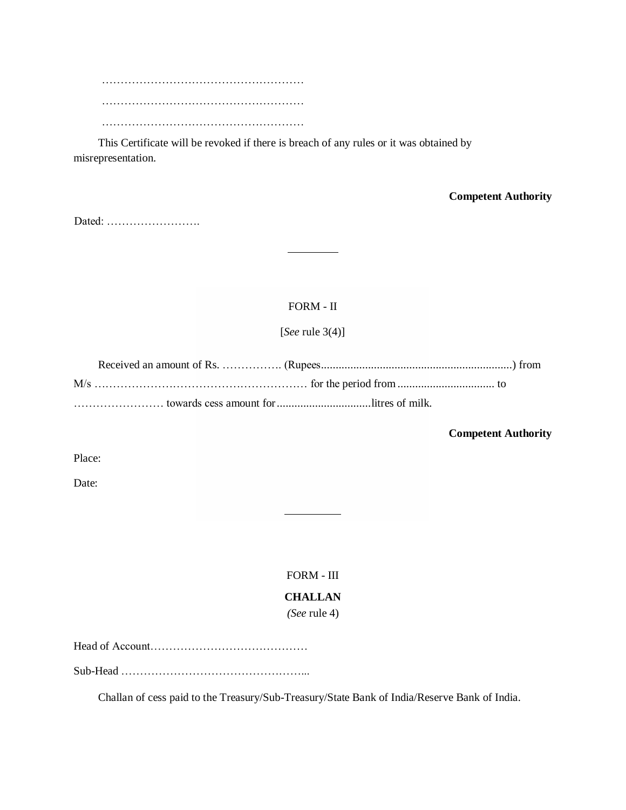……………………………………………… ……………………………………………… ………………………………………………

This Certificate will be revoked if there is breach of any rules or it was obtained by misrepresentation.

**Competent Authority**

Dated: …………………….

# FORM - II

[*See* rule 3(4)]

**Competent Authority**

Place:

Date:

FORM - III **CHALLAN**

*(See* rule 4)

Head of Account……………………………………

Sub-Head …………………………………………...

Challan of cess paid to the Treasury/Sub-Treasury/State Bank of India/Reserve Bank of India.